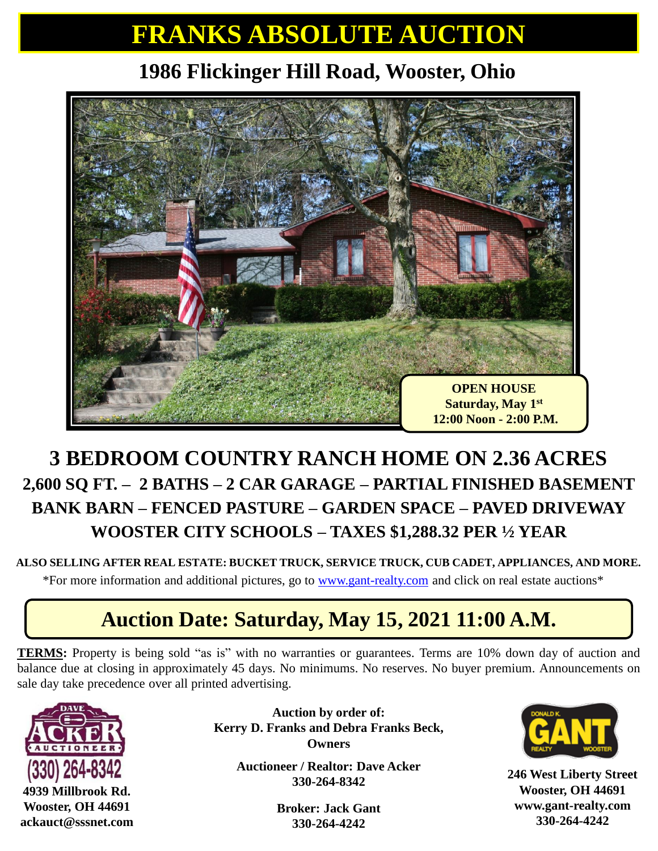# **FRANKS ABSOLUTE AUCTION**

### **1986 Flickinger Hill Road, Wooster, Ohio**



### **3 BEDROOM COUNTRY RANCH HOME ON 2.36 ACRES 2,600 SQ FT. – 2 BATHS – 2 CAR GARAGE – PARTIAL FINISHED BASEMENT BANK BARN – FENCED PASTURE – GARDEN SPACE – PAVED DRIVEWAY WOOSTER CITY SCHOOLS – TAXES \$1,288.32 PER ½ YEAR**

#### **ALSO SELLING AFTER REAL ESTATE: BUCKET TRUCK, SERVICE TRUCK, CUB CADET, APPLIANCES, AND MORE.**

\*For more information and additional pictures, go to [www.gant-realty.com](http://www.gant-realty.com/) and click on real estate auctions\*

### **Auction Date: Saturday, May 15, 2021 11:00 A.M.**

**TERMS:** Property is being sold "as is" with no warranties or guarantees. Terms are 10% down day of auction and balance due at closing in approximately 45 days. No minimums. No reserves. No buyer premium. Announcements on sale day take precedence over all printed advertising.



**Auction by order of: Kerry D. Franks and Debra Franks Beck, Owners**

> **Auctioneer / Realtor: Dave Acker 330-264-8342**

> > **Broker: Jack Gant 330-264-4242**



**246 West Liberty Street Wooster, OH 44691 www.gant-realty.com 330-264-4242**